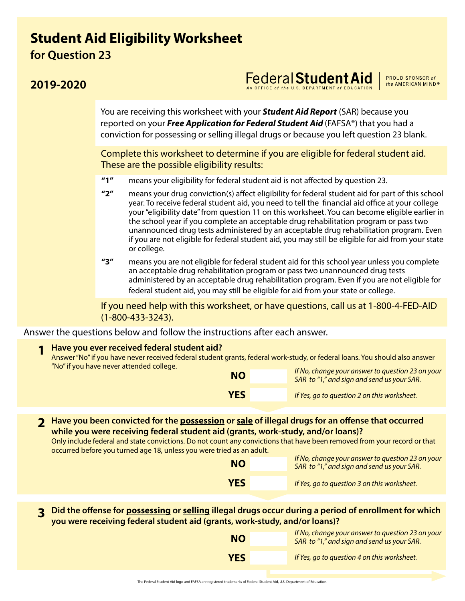## **Student Aid Eligibility Worksheet for Question 23**

## **2019-2020**

You are receiving this worksheet with your *Student Aid Report* (SAR) because you reported on your *Free Application for Federal Student Aid* (FAFSA®) that you had a conviction for possessing or selling illegal drugs or because you left question 23 blank.

Complete this worksheet to determine if you are eligible for federal student aid. These are the possible eligibility results:

- **"1"** means your eligibility for federal student aid is not affected by question 23.
- **"2"** means your drug conviction(s) affect eligibility for federal student aid for part of this school year. To receive federal student aid, you need to tell the financial aid office at your college your "eligibility date" from question 11 on this worksheet. You can become eligible earlier in the school year if you complete an acceptable drug rehabilitation program or pass two unannounced drug tests administered by an acceptable drug rehabilitation program. Even if you are not eligible for federal student aid, you may still be eligible for aid from your state or college.
- **"3"** means you are not eligible for federal student aid for this school year unless you complete an acceptable drug rehabilitation program or pass two unannounced drug tests administered by an acceptable drug rehabilitation program. Even if you are not eligible for federal student aid, you may still be eligible for aid from your state or college.

If you need help with this worksheet, or have questions, call us at 1-800-4-FED-AID (1-800-433-3243).

Answer the questions below and follow the instructions after each answer.

## **Have you ever received federal student aid? 1**

Answer "No" if you have never received federal student grants, federal work-study, or federal loans. You should also answer "No" if you have never attended college.

| <b>NO</b>  | If No, change your answer to question 23 on your<br>SAR to "1," and sign and send us your SAR. |  |  |  |  |
|------------|------------------------------------------------------------------------------------------------|--|--|--|--|
| <b>YES</b> | If Yes, go to question 2 on this worksheet.                                                    |  |  |  |  |

**Have you been convicted for the possession or sale of illegal drugs for an offense that occurred 2 while you were receiving federal student aid (grants, work-study, and/or loans)?** 

Only include federal and state convictions. Do not count any convictions that have been removed from your record or that occurred before you turned age 18, unless you were tried as an adult.

| <b>NO</b>  | If No, change your answer to question 23 on your<br>SAR to "1," and sign and send us your SAR. |  |  |  |  |
|------------|------------------------------------------------------------------------------------------------|--|--|--|--|
| <b>YES</b> | If Yes, go to question 3 on this worksheet.                                                    |  |  |  |  |

3 Did the offense for <u>possessing</u> or <u>selling</u> illegal drugs occur during a period of enrollment for which<br>19 you were receiving federal student aid (grants, work-study, and/or loans)?

| <b>NO</b>  | If No, change your answer to question 23 on your<br>SAR to "1," and sign and send us your SAR. |
|------------|------------------------------------------------------------------------------------------------|
| <b>YES</b> | If Yes, go to question 4 on this worksheet.                                                    |

## Federal **Student Aid** *An* OFFICE of the U.S. DEPARTMENT of EDUCATION

PROUD SPONSOR of the AMERICAN MIND®